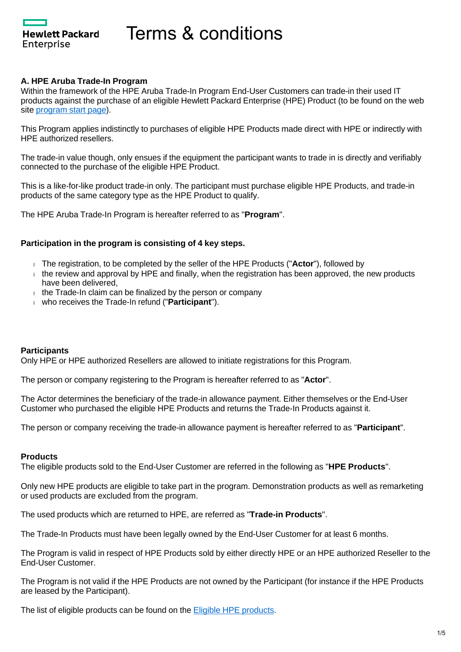**Hewlett Packard** Enterprise

# **A. HPE Aruba Trade-In Program**

Within the framework of the HPE Aruba Trade-In Program End-User Customers can trade-in their used IT products against the purchase of an eligible Hewlett Packard Enterprise (HPE) Product (to be found on the web site [program start page](https://promotions.ext.hpe.com/WMCF.Web/lv/en/promotion/20241/?ocugid=)).

This Program applies indistinctly to purchases of eligible HPE Products made direct with HPE or indirectly with HPE authorized resellers.

The trade-in value though, only ensues if the equipment the participant wants to trade in is directly and verifiably connected to the purchase of the eligible HPE Product.

This is a like-for-like product trade-in only. The participant must purchase eligible HPE Products, and trade-in products of the same category type as the HPE Product to qualify.

The HPE Aruba Trade-In Program is hereafter referred to as "**Program**".

#### **Participation in the program is consisting of 4 key steps.**

- The registration, to be completed by the seller of the HPE Products ("**Actor**"), followed by
- $\pm$  the review and approval by HPE and finally, when the registration has been approved, the new products have been delivered,
- $t$  the Trade-In claim can be finalized by the person or company
- who receives the Trade-In refund ("**Participant**").

#### **Participants**

Only HPE or HPE authorized Resellers are allowed to initiate registrations for this Program.

The person or company registering to the Program is hereafter referred to as "**Actor**".

The Actor determines the beneficiary of the trade-in allowance payment. Either themselves or the End-User Customer who purchased the eligible HPE Products and returns the Trade-In Products against it.

The person or company receiving the trade-in allowance payment is hereafter referred to as "**Participant**".

#### **Products**

The eligible products sold to the End-User Customer are referred in the following as "**HPE Products**".

Only new HPE products are eligible to take part in the program. Demonstration products as well as remarketing or used products are excluded from the program.

The used products which are returned to HPE, are referred as "**Trade-in Products**".

The Trade-In Products must have been legally owned by the End-User Customer for at least 6 months.

The Program is valid in respect of HPE Products sold by either directly HPE or an HPE authorized Reseller to the End-User Customer.

The Program is not valid if the HPE Products are not owned by the Participant (for instance if the HPE Products are leased by the Participant).

The list of eligible products can be found on the [Eligible HPE products.](https://promotions.ext.hpe.com/WMCF.Web/Images/HP/Cleansheet/Special/161/20241_TIV_Calculator_rev_2-2021-5-7.pdf)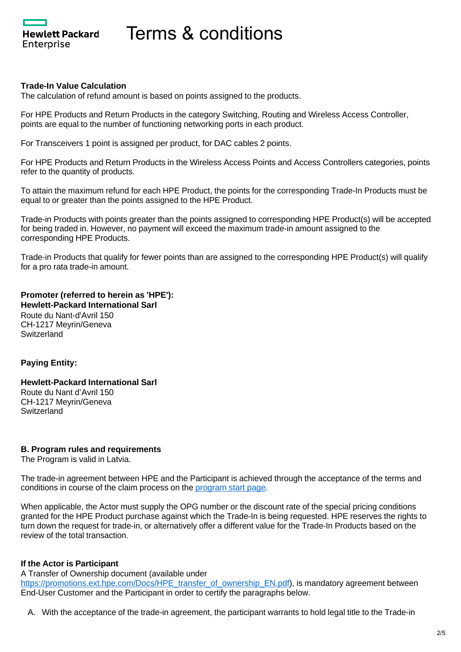**Hewlett Packard** Enterprise

#### **Trade-In Value Calculation**

The calculation of refund amount is based on points assigned to the products.

For HPE Products and Return Products in the category Switching, Routing and Wireless Access Controller, points are equal to the number of functioning networking ports in each product.

For Transceivers 1 point is assigned per product, for DAC cables 2 points.

For HPE Products and Return Products in the Wireless Access Points and Access Controllers categories, points refer to the quantity of products.

To attain the maximum refund for each HPE Product, the points for the corresponding Trade-In Products must be equal to or greater than the points assigned to the HPE Product.

Trade-in Products with points greater than the points assigned to corresponding HPE Product(s) will be accepted for being traded in. However, no payment will exceed the maximum trade-in amount assigned to the corresponding HPE Products.

Trade-in Products that qualify for fewer points than are assigned to the corresponding HPE Product(s) will qualify for a pro rata trade-in amount.

**Promoter (referred to herein as 'HPE'): Hewlett-Packard International Sarl** Route du Nant-d'Avril 150 CH-1217 Meyrin/Geneva **Switzerland** 

# **Paying Entity:**

# **Hewlett-Packard International Sarl**

Route du Nant d'Avril 150 CH-1217 Meyrin/Geneva **Switzerland** 

#### **B. Program rules and requirements**

The Program is valid in Latvia.

The trade-in agreement between HPE and the Participant is achieved through the acceptance of the terms and conditions in course of the claim process on the [program start page.](https://promotions.ext.hpe.com/WMCF.Web/lv/en/promotion/20241/?ocugid=)

When applicable, the Actor must supply the OPG number or the discount rate of the special pricing conditions granted for the HPE Product purchase against which the Trade-In is being requested. HPE reserves the rights to turn down the request for trade-in, or alternatively offer a different value for the Trade-In Products based on the review of the total transaction.

# **If the Actor is Participant**

A Transfer of Ownership document (available under [https://promotions.ext.hpe.com/Docs/HPE\\_transfer\\_of\\_ownership\\_EN.pdf\)](https://promotions.ext.hpe.com/Docs/HPE_transfer_of_ownership_EN.pdf), is mandatory agreement between End-User Customer and the Participant in order to certify the paragraphs below.

A. With the acceptance of the trade-in agreement, the participant warrants to hold legal title to the Trade-in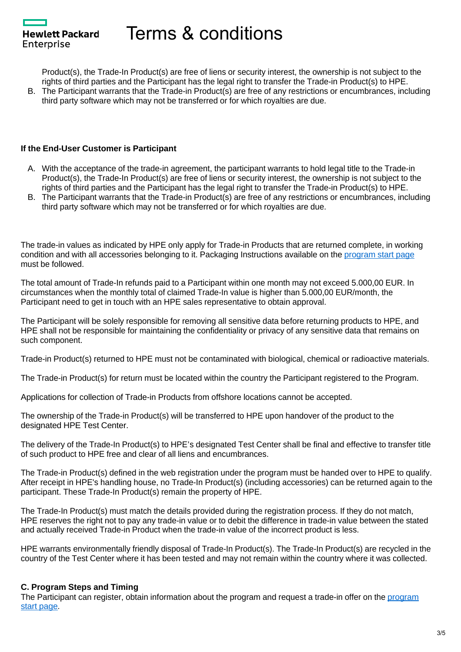**Hewlett Packard** Enterprise

Product(s), the Trade-In Product(s) are free of liens or security interest, the ownership is not subject to the rights of third parties and the Participant has the legal right to transfer the Trade-in Product(s) to HPE.

B. The Participant warrants that the Trade-in Product(s) are free of any restrictions or encumbrances, including third party software which may not be transferred or for which royalties are due.

# **If the End-User Customer is Participant**

- A. With the acceptance of the trade-in agreement, the participant warrants to hold legal title to the Trade-in Product(s), the Trade-In Product(s) are free of liens or security interest, the ownership is not subject to the rights of third parties and the Participant has the legal right to transfer the Trade-in Product(s) to HPE.
- B. The Participant warrants that the Trade-in Product(s) are free of any restrictions or encumbrances, including third party software which may not be transferred or for which royalties are due.

The trade-in values as indicated by HPE only apply for Trade-in Products that are returned complete, in working condition and with all accessories belonging to it. Packaging Instructions available on the [program start page](https://promotions.ext.hpe.com/WMCF.Web/lv/en/promotion/20241/?ocugid=) must be followed.

The total amount of Trade-In refunds paid to a Participant within one month may not exceed 5.000,00 EUR. In circumstances when the monthly total of claimed Trade-In value is higher than 5.000,00 EUR/month, the Participant need to get in touch with an HPE sales representative to obtain approval.

The Participant will be solely responsible for removing all sensitive data before returning products to HPE, and HPE shall not be responsible for maintaining the confidentiality or privacy of any sensitive data that remains on such component.

Trade-in Product(s) returned to HPE must not be contaminated with biological, chemical or radioactive materials.

The Trade-in Product(s) for return must be located within the country the Participant registered to the Program.

Applications for collection of Trade-in Products from offshore locations cannot be accepted.

The ownership of the Trade-in Product(s) will be transferred to HPE upon handover of the product to the designated HPE Test Center.

The delivery of the Trade-In Product(s) to HPE's designated Test Center shall be final and effective to transfer title of such product to HPE free and clear of all liens and encumbrances.

The Trade-in Product(s) defined in the web registration under the program must be handed over to HPE to qualify. After receipt in HPE's handling house, no Trade-In Product(s) (including accessories) can be returned again to the participant. These Trade-In Product(s) remain the property of HPE.

The Trade-In Product(s) must match the details provided during the registration process. If they do not match, HPE reserves the right not to pay any trade-in value or to debit the difference in trade-in value between the stated and actually received Trade-in Product when the trade-in value of the incorrect product is less.

HPE warrants environmentally friendly disposal of Trade-In Product(s). The Trade-In Product(s) are recycled in the country of the Test Center where it has been tested and may not remain within the country where it was collected.

# **C. Program Steps and Timing**

The Participant can register, obtain information about the [program](https://promotions.ext.hpe.com/WMCF.Web/lv/en/promotion/20241/?ocugid=) and request a trade-in offer on the program [start page](https://promotions.ext.hpe.com/WMCF.Web/lv/en/promotion/20241/?ocugid=).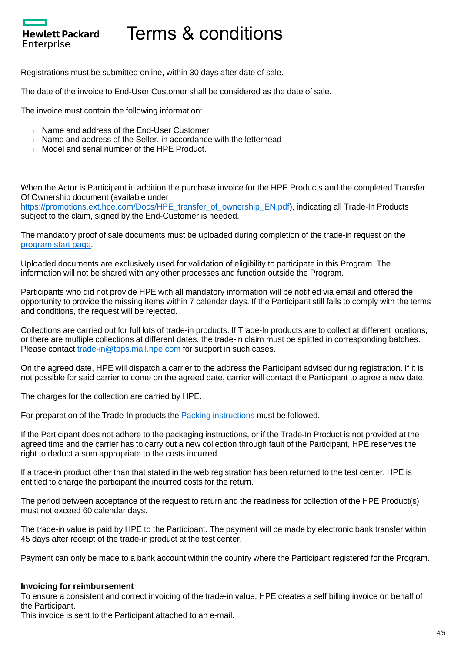Registrations must be submitted online, within 30 days after date of sale.

The date of the invoice to End-User Customer shall be considered as the date of sale.

The invoice must contain the following information:

Hewlett Packard

Enterprise

- **Name and address of the End-User Customer**
- Name and address of the Seller, in accordance with the letterhead
- Model and serial number of the HPE Product.

When the Actor is Participant in addition the purchase invoice for the HPE Products and the completed Transfer Of Ownership document (available under

[https://promotions.ext.hpe.com/Docs/HPE\\_transfer\\_of\\_ownership\\_EN.pdf\)](https://promotions.ext.hpe.com/Docs/HPE_transfer_of_ownership_EN.pdf), indicating all Trade-In Products subject to the claim, signed by the End-Customer is needed.

The mandatory proof of sale documents must be uploaded during completion of the trade-in request on the [program start page](https://promotions.ext.hpe.com/WMCF.Web/lv/en/promotion/20241/?ocugid=).

Uploaded documents are exclusively used for validation of eligibility to participate in this Program. The information will not be shared with any other processes and function outside the Program.

Participants who did not provide HPE with all mandatory information will be notified via email and offered the opportunity to provide the missing items within 7 calendar days. If the Participant still fails to comply with the terms and conditions, the request will be rejected.

Collections are carried out for full lots of trade-in products. If Trade-In products are to collect at different locations, or there are multiple collections at different dates, the trade-in claim must be splitted in corresponding batches. Please contact [trade-in@tpps.mail.hpe.com](mailto:trade-in@tpps.mail.hpe.com) for support in such cases.

On the agreed date, HPE will dispatch a carrier to the address the Participant advised during registration. If it is not possible for said carrier to come on the agreed date, carrier will contact the Participant to agree a new date.

The charges for the collection are carried by HPE.

For preparation of the Trade-In products the **Packing instructions** must be followed.

If the Participant does not adhere to the packaging instructions, or if the Trade-In Product is not provided at the agreed time and the carrier has to carry out a new collection through fault of the Participant, HPE reserves the right to deduct a sum appropriate to the costs incurred.

If a trade-in product other than that stated in the web registration has been returned to the test center, HPE is entitled to charge the participant the incurred costs for the return.

The period between acceptance of the request to return and the readiness for collection of the HPE Product(s) must not exceed 60 calendar days.

The trade-in value is paid by HPE to the Participant. The payment will be made by electronic bank transfer within 45 days after receipt of the trade-in product at the test center.

Payment can only be made to a bank account within the country where the Participant registered for the Program.

#### **Invoicing for reimbursement**

To ensure a consistent and correct invoicing of the trade-in value, HPE creates a self billing invoice on behalf of the Participant.

This invoice is sent to the Participant attached to an e-mail.